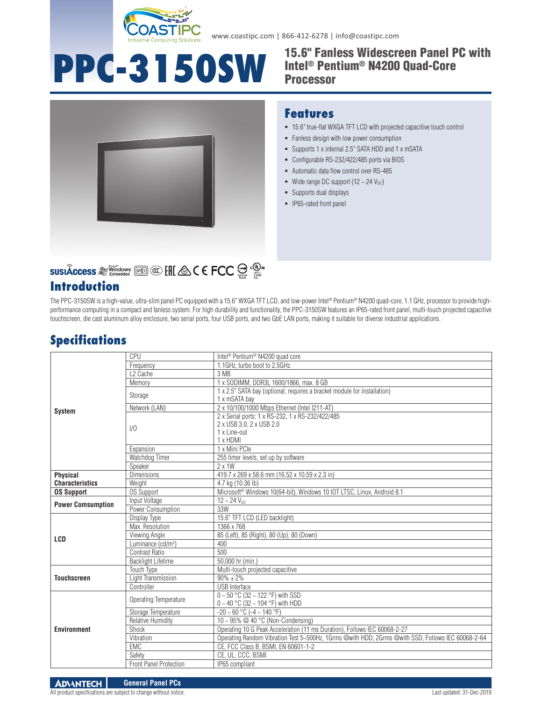

www.coastipc.com | 866-412-6278 | info@coastipc.com

### **PPC-3150SW** 15.6" Fanless Widescreen Panel PC with Intel® Pentium® N4200 Quad-Core Processor



# **SUSIÂCCESS All Windows** [Kell] **@CEFCC**  $\bigoplus_{n=1}^{\infty}$  **c**<sup>0</sup>.

## **Introduction**

#### **Features**

- 15.6" true-flat WXGA TFT LCD with projected capacitive touch control
- Fanless design with low power consumption
- Supports 1 x internal 2.5" SATA HDD and 1 x mSATA
- Configurable RS-232/422/485 ports via BIOS
- Automatic data flow control over RS-485
- Wide range DC support  $(12 \sim 24 \text{ V}_{\text{DC}})$
- Supports dual displays
- **IP65-rated front panel**

The PPC-3150SW is a high-value, ultra-slim panel PC equipped with a 15.6" WXGA TFT LCD, and low-power Intel® Pentium® N4200 quad-core, 1.1 GHz, processor to provide highperformance computing in a compact and fanless system. For high durability and functionality, the PPC-3150SW features an IP65-rated front panel, multi-touch projected capacitive touchscreen, die cast aluminum alloy enclosure, two serial ports, four USB ports, and two GbE LAN ports, making it suitable for diverse industrial applications.

## **Specifications**

| <b>System</b>                             | CPU                            | Intel <sup>®</sup> Pentium <sup>®</sup> N4200 quad core                                                  |
|-------------------------------------------|--------------------------------|----------------------------------------------------------------------------------------------------------|
|                                           | Frequency                      | 1.1GHz, turbo boot to 2.5GHz.                                                                            |
|                                           | L <sub>2</sub> Cache           | 3 MB                                                                                                     |
|                                           | Memory                         | 1 x SODIMM, DDR3L 1600/1866, max. 8 GB                                                                   |
|                                           | Storage                        | 1 x 2.5" SATA bay (optional; requires a bracket module for installation)<br>1 x mSATA bay                |
|                                           | Network (LAN)                  | 2 x 10/100/1000 Mbps Ethernet (Intel I211-AT)                                                            |
|                                           | 1/0                            | 2 x Serial ports: 1 x RS-232, 1 x RS-232/422/485<br>2 x USB 3.0, 2 x USB 2.0<br>1 x Line-out<br>1 x HDMI |
|                                           | Expansion                      | 1 x Mini PCle                                                                                            |
|                                           | Watchdog Timer                 | 255 timer levels, set up by software                                                                     |
|                                           | Speaker                        | $2 \times 1W$                                                                                            |
| <b>Physical</b><br><b>Characteristics</b> | <b>Dimensions</b>              | 419.7 x 269 x 58.6 mm (16.52 x 10.59 x 2.3 in)                                                           |
|                                           | Weight                         | 4.7 kg (10.36 lb)                                                                                        |
| <b>OS Support</b>                         | <b>OS Support</b>              | Microsoft <sup>®</sup> Windows 10(64-bit), Windows 10 IOT LTSC, Linux, Android 8.1                       |
| <b>Power Comsumption</b>                  | Input Voltage                  | $12 - 24 V_{DC}$                                                                                         |
|                                           | Power Consumption              | 33W                                                                                                      |
| <b>LCD</b>                                | Display Type                   | 15.6" TFT LCD (LED backlight)                                                                            |
|                                           | Max. Resolution                | 1366 x 768                                                                                               |
|                                           | Viewing Angle                  | 85 (Left), 85 (Right), 80 (Up), 80 (Down)                                                                |
|                                           | Luminance (cd/m <sup>2</sup> ) | 400                                                                                                      |
|                                           | Contrast Ratio                 | 500                                                                                                      |
|                                           | <b>Backlight Lifetime</b>      | 50,000 hr (min.)                                                                                         |
| <b>Touchscreen</b>                        | <b>Touch Type</b>              | Multi-touch projected capacitive                                                                         |
|                                           | Light Transmission             | $90\% \pm 2\%$                                                                                           |
|                                           | Controller                     | <b>USB</b> Interface                                                                                     |
| <b>Environment</b>                        | Operating Temperature          | $0 \sim 50$ °C (32 ~ 122 °F) with SSD<br>0 ~ 40 °C (32 ~ 104 °F) with HDD                                |
|                                           | Storage Temperature            | $-20 \sim 60$ °C ( $-4 \sim 140$ °F)                                                                     |
|                                           | <b>Relative Humidity</b>       | 10 ~ 95% @ 40 °C (Non-Condensing)                                                                        |
|                                           | Shock                          | Operating 10 G Peak Acceleration (11 ms Duration), Follows IEC 60068-2-27                                |
|                                           | Vibration                      | Operating Random Vibration Test 5~500Hz, 1Grms @with HDD; 2Grms @with SSD, Follows IEC 60068-2-64        |
|                                           | EMC                            | CE, FCC Class B, BSMI, EN 60601-1-2                                                                      |
|                                           | Safety                         | CE, UL, CCC, BSMI                                                                                        |
|                                           | Front Panel Protection         | IP65 compliant                                                                                           |